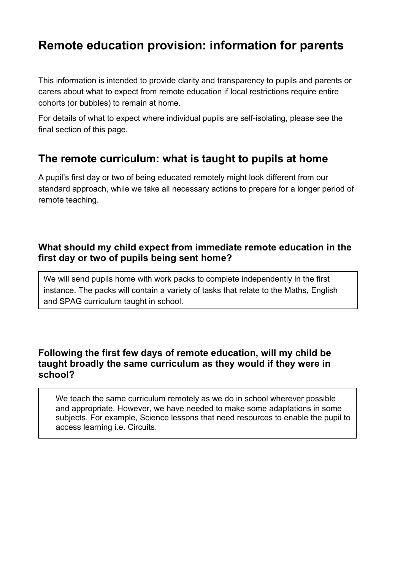# **Remote education provision: information for parents**

This information is intended to provide clarity and transparency to pupils and parents or carers about what to expect from remote education if local restrictions require entire cohorts (or bubbles) to remain at home.

For details of what to expect where individual pupils are self-isolating, please see the final section of this page.

# **The remote curriculum: what is taught to pupils at home**

A pupil's first day or two of being educated remotely might look different from our standard approach, while we take all necessary actions to prepare for a longer period of remote teaching.

## **What should my child expect from immediate remote education in the first day or two of pupils being sent home?**

We will send pupils home with work packs to complete independently in the first instance. The packs will contain a variety of tasks that relate to the Maths, English and SPAG curriculum taught in school.

## **Following the first few days of remote education, will my child be taught broadly the same curriculum as they would if they were in school?**

We teach the same curriculum remotely as we do in school wherever possible and appropriate. However, we have needed to make some adaptations in some subjects. For example, Science lessons that need resources to enable the pupil to access learning i.e. Circuits.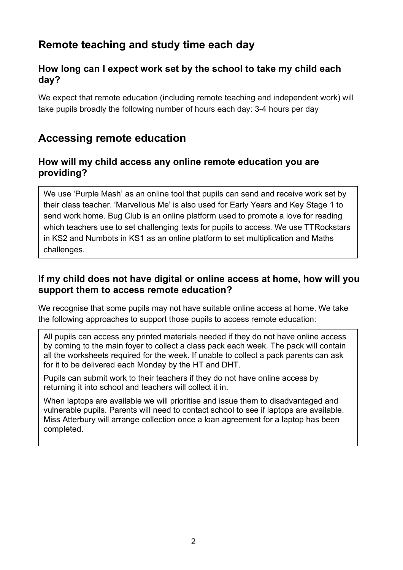# **Remote teaching and study time each day**

## **How long can I expect work set by the school to take my child each day?**

We expect that remote education (including remote teaching and independent work) will take pupils broadly the following number of hours each day: 3-4 hours per day

# **Accessing remote education**

#### **How will my child access any online remote education you are providing?**

We use 'Purple Mash' as an online tool that pupils can send and receive work set by their class teacher. 'Marvellous Me' is also used for Early Years and Key Stage 1 to send work home. Bug Club is an online platform used to promote a love for reading which teachers use to set challenging texts for pupils to access. We use TTRockstars in KS2 and Numbots in KS1 as an online platform to set multiplication and Maths challenges.

## **If my child does not have digital or online access at home, how will you support them to access remote education?**

We recognise that some pupils may not have suitable online access at home. We take the following approaches to support those pupils to access remote education:

All pupils can access any printed materials needed if they do not have online access by coming to the main foyer to collect a class pack each week. The pack will contain all the worksheets required for the week. If unable to collect a pack parents can ask for it to be delivered each Monday by the HT and DHT.

Pupils can submit work to their teachers if they do not have online access by returning it into school and teachers will collect it in.

When laptops are available we will prioritise and issue them to disadvantaged and vulnerable pupils. Parents will need to contact school to see if laptops are available. Miss Atterbury will arrange collection once a loan agreement for a laptop has been completed.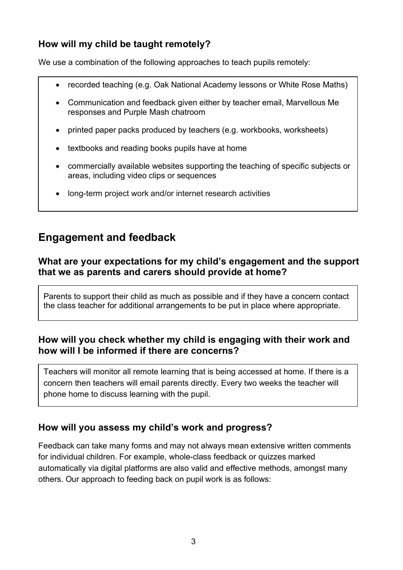# **How will my child be taught remotely?**

We use a combination of the following approaches to teach pupils remotely:

- recorded teaching (e.g. Oak National Academy lessons or White Rose Maths)
- Communication and feedback given either by teacher email, Marvellous Me responses and Purple Mash chatroom
- printed paper packs produced by teachers (e.g. workbooks, worksheets)
- textbooks and reading books pupils have at home
- commercially available websites supporting the teaching of specific subjects or areas, including video clips or sequences
- long-term project work and/or internet research activities

# **Engagement and feedback**

## **What are your expectations for my child's engagement and the support that we as parents and carers should provide at home?**

Parents to support their child as much as possible and if they have a concern contact the class teacher for additional arrangements to be put in place where appropriate.

## **How will you check whether my child is engaging with their work and how will I be informed if there are concerns?**

Teachers will monitor all remote learning that is being accessed at home. If there is a concern then teachers will email parents directly. Every two weeks the teacher will phone home to discuss learning with the pupil.

## **How will you assess my child's work and progress?**

Feedback can take many forms and may not always mean extensive written comments for individual children. For example, whole-class feedback or quizzes marked automatically via digital platforms are also valid and effective methods, amongst many others. Our approach to feeding back on pupil work is as follows: